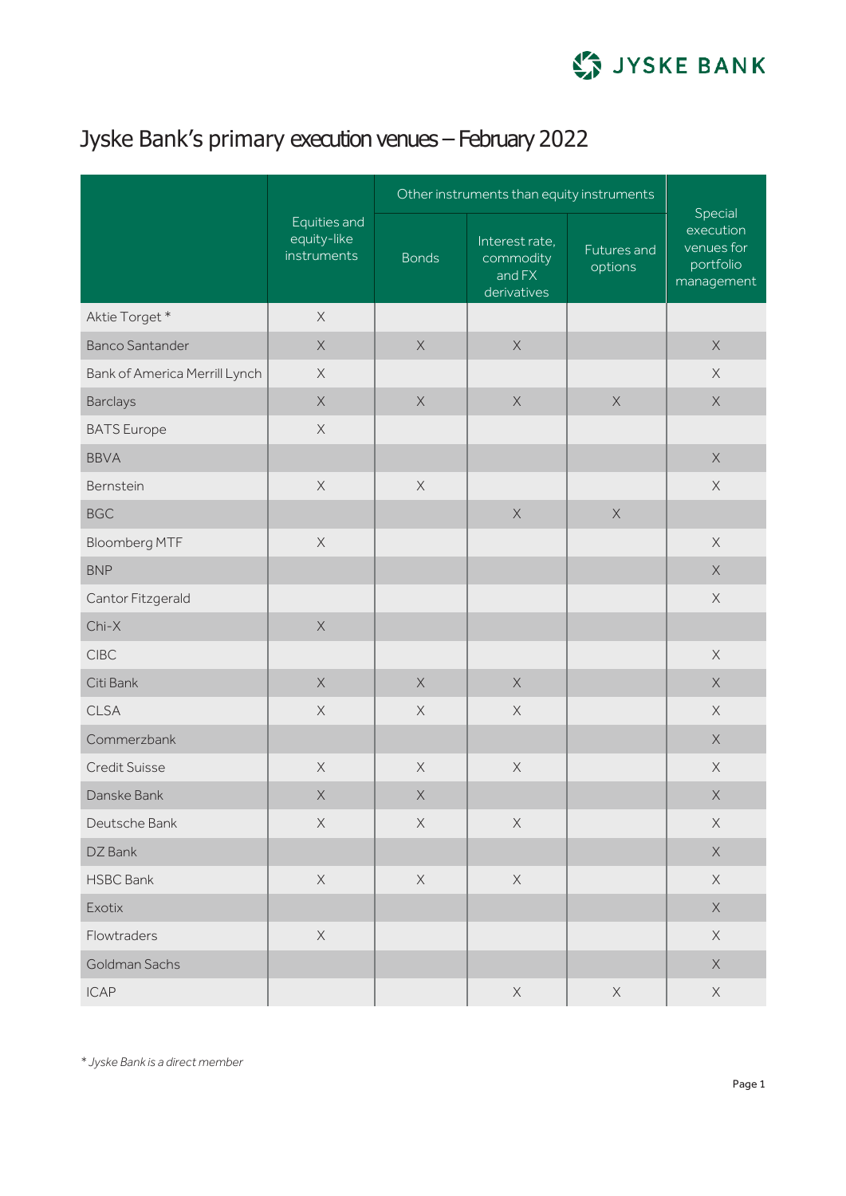

## Jyske Bank's primary execution venues – February 2022

|                               | Equities and<br>equity-like<br>instruments | Other instruments than equity instruments |                                                      |                        |                                                               |
|-------------------------------|--------------------------------------------|-------------------------------------------|------------------------------------------------------|------------------------|---------------------------------------------------------------|
|                               |                                            | <b>Bonds</b>                              | Interest rate,<br>commodity<br>and FX<br>derivatives | Futures and<br>options | Special<br>execution<br>venues for<br>portfolio<br>management |
| Aktie Torget*                 | $\mathsf X$                                |                                           |                                                      |                        |                                                               |
| <b>Banco Santander</b>        | $\mathsf X$                                | $\mathsf X$                               | $\mathsf X$                                          |                        | $\mathsf X$                                                   |
| Bank of America Merrill Lynch | $\mathsf X$                                |                                           |                                                      |                        | $\times$                                                      |
| <b>Barclays</b>               | $\mathsf X$                                | $\mathsf X$                               | $\mathsf X$                                          | $\mathsf X$            | $\mathsf X$                                                   |
| <b>BATS</b> Europe            | $\mathsf X$                                |                                           |                                                      |                        |                                                               |
| <b>BBVA</b>                   |                                            |                                           |                                                      |                        | $\mathsf X$                                                   |
| Bernstein                     | $\mathsf X$                                | $\mathsf X$                               |                                                      |                        | $\mathsf X$                                                   |
| <b>BGC</b>                    |                                            |                                           | $\mathsf X$                                          | $\mathsf X$            |                                                               |
| <b>Bloomberg MTF</b>          | $\mathsf X$                                |                                           |                                                      |                        | $\times$                                                      |
| <b>BNP</b>                    |                                            |                                           |                                                      |                        | $\mathsf X$                                                   |
| Cantor Fitzgerald             |                                            |                                           |                                                      |                        | $\mathsf X$                                                   |
| $Chi-X$                       | $\mathsf X$                                |                                           |                                                      |                        |                                                               |
| <b>CIBC</b>                   |                                            |                                           |                                                      |                        | $\times$                                                      |
| Citi Bank                     | $\mathsf X$                                | $\times$                                  | $\mathsf X$                                          |                        | $\mathsf X$                                                   |
| <b>CLSA</b>                   | $\mathsf X$                                | $\times$                                  | $\times$                                             |                        | $\times$                                                      |
| Commerzbank                   |                                            |                                           |                                                      |                        | $\mathsf X$                                                   |
| <b>Credit Suisse</b>          | $\mathsf X$                                | $\mathsf X$                               | $\mathsf X$                                          |                        | $\times$                                                      |
| Danske Bank                   | $\mathsf X$                                | $\times$                                  |                                                      |                        | $\mathsf X$                                                   |
| Deutsche Bank                 | $\mathsf X$                                | $\mathsf X$                               | $\mathsf X$                                          |                        | $\mathsf X$                                                   |
| DZ Bank                       |                                            |                                           |                                                      |                        | $\mathsf X$                                                   |
| <b>HSBC Bank</b>              | $\mathsf X$                                | $\mathsf X$                               | $\mathsf X$                                          |                        | $\mathsf X$                                                   |
| Exotix                        |                                            |                                           |                                                      |                        | $\mathsf X$                                                   |
| Flowtraders                   | $\mathsf X$                                |                                           |                                                      |                        | $\mathsf X$                                                   |
| Goldman Sachs                 |                                            |                                           |                                                      |                        | $\mathsf X$                                                   |
| <b>ICAP</b>                   |                                            |                                           | $\mathsf X$                                          | $\mathsf X$            | $\mathsf X$                                                   |

*\* Jyske Bank is a direct member*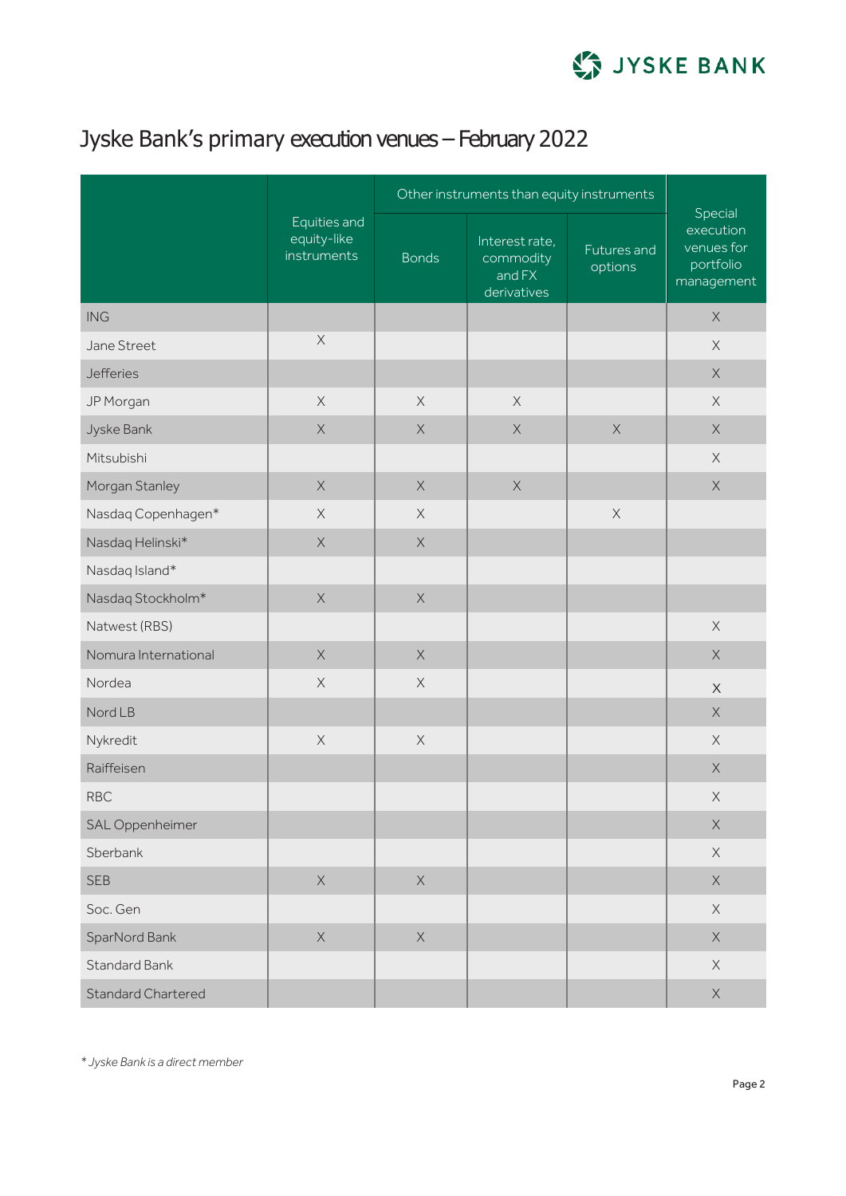

## Jyske Bank's primary execution venues – February 2022

|                           | Equities and<br>equity-like<br>instruments | Other instruments than equity instruments |                                                      |                        |                                                               |
|---------------------------|--------------------------------------------|-------------------------------------------|------------------------------------------------------|------------------------|---------------------------------------------------------------|
|                           |                                            | <b>Bonds</b>                              | Interest rate,<br>commodity<br>and FX<br>derivatives | Futures and<br>options | Special<br>execution<br>venues for<br>portfolio<br>management |
| <b>ING</b>                |                                            |                                           |                                                      |                        | $\mathsf X$                                                   |
| Jane Street               | $\mathsf X$                                |                                           |                                                      |                        | $\times$                                                      |
| <b>Jefferies</b>          |                                            |                                           |                                                      |                        | $\mathsf X$                                                   |
| JP Morgan                 | $\mathsf X$                                | $\mathsf X$                               | $\mathsf X$                                          |                        | $\mathsf X$                                                   |
| Jyske Bank                | $\mathsf X$                                | $\mathsf X$                               | $\mathsf X$                                          | $\mathsf X$            | $\mathsf X$                                                   |
| Mitsubishi                |                                            |                                           |                                                      |                        | $\mathsf X$                                                   |
| Morgan Stanley            | $\mathsf X$                                | $\mathsf X$                               | $\mathsf X$                                          |                        | $\mathsf X$                                                   |
| Nasdaq Copenhagen*        | $\times$                                   | $\mathsf X$                               |                                                      | $\mathsf X$            |                                                               |
| Nasdaq Helinski*          | $\mathsf X$                                | $\mathsf X$                               |                                                      |                        |                                                               |
| Nasdaq Island*            |                                            |                                           |                                                      |                        |                                                               |
| Nasdaq Stockholm*         | $\mathsf X$                                | $\mathsf X$                               |                                                      |                        |                                                               |
| Natwest (RBS)             |                                            |                                           |                                                      |                        | $\times$                                                      |
| Nomura International      | $\mathsf X$                                | $\mathsf X$                               |                                                      |                        | $\mathsf X$                                                   |
| Nordea                    | $\mathsf X$                                | $\mathsf X$                               |                                                      |                        | $\mathsf X$                                                   |
| Nord LB                   |                                            |                                           |                                                      |                        | $\mathsf X$                                                   |
| Nykredit                  | $\mathsf X$                                | $\mathsf X$                               |                                                      |                        | $\mathsf X$                                                   |
| Raiffeisen                |                                            |                                           |                                                      |                        | $\mathsf X$                                                   |
| <b>RBC</b>                |                                            |                                           |                                                      |                        | $\mathsf X$                                                   |
| SAL Oppenheimer           |                                            |                                           |                                                      |                        | $\mathsf X$                                                   |
| Sberbank                  |                                            |                                           |                                                      |                        | $\mathsf X$                                                   |
| <b>SEB</b>                | $\mathsf X$                                | $\mathsf X$                               |                                                      |                        | $\mathsf X$                                                   |
| Soc. Gen                  |                                            |                                           |                                                      |                        | $\mathsf X$                                                   |
| SparNord Bank             | $\mathsf X$                                | $\mathsf X$                               |                                                      |                        | $\mathsf X$                                                   |
| Standard Bank             |                                            |                                           |                                                      |                        | $\mathsf X$                                                   |
| <b>Standard Chartered</b> |                                            |                                           |                                                      |                        | $\mathsf X$                                                   |

*\* Jyske Bank is a direct member*